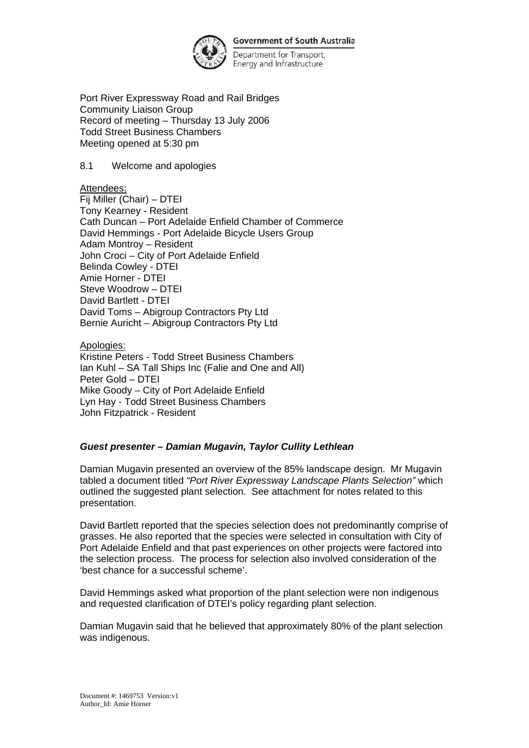

**Government of South Australia** 

Department for Transport, Energy and Infrastructure

Port River Expressway Road and Rail Bridges Community Liaison Group Record of meeting – Thursday 13 July 2006 Todd Street Business Chambers Meeting opened at 5:30 pm

8.1 Welcome and apologies

Attendees:

Fij Miller (Chair) – DTEI Tony Kearney - Resident Cath Duncan – Port Adelaide Enfield Chamber of Commerce David Hemmings - Port Adelaide Bicycle Users Group Adam Montroy – Resident John Croci – City of Port Adelaide Enfield Belinda Cowley - DTEI Amie Horner - DTEI Steve Woodrow – DTEI David Bartlett - DTEI David Toms – Abigroup Contractors Pty Ltd Bernie Auricht – Abigroup Contractors Pty Ltd

Apologies:

Kristine Peters - Todd Street Business Chambers Ian Kuhl – SA Tall Ships Inc (Falie and One and All) Peter Gold – DTEI Mike Goody – City of Port Adelaide Enfield Lyn Hay - Todd Street Business Chambers John Fitzpatrick - Resident

## *Guest presenter – Damian Mugavin, Taylor Cullity Lethlean*

Damian Mugavin presented an overview of the 85% landscape design. Mr Mugavin tabled a document titled *"Port River Expressway Landscape Plants Selection"* which outlined the suggested plant selection. See attachment for notes related to this presentation.

David Bartlett reported that the species selection does not predominantly comprise of grasses. He also reported that the species were selected in consultation with City of Port Adelaide Enfield and that past experiences on other projects were factored into the selection process. The process for selection also involved consideration of the 'best chance for a successful scheme'.

David Hemmings asked what proportion of the plant selection were non indigenous and requested clarification of DTEI's policy regarding plant selection.

Damian Mugavin said that he believed that approximately 80% of the plant selection was indigenous.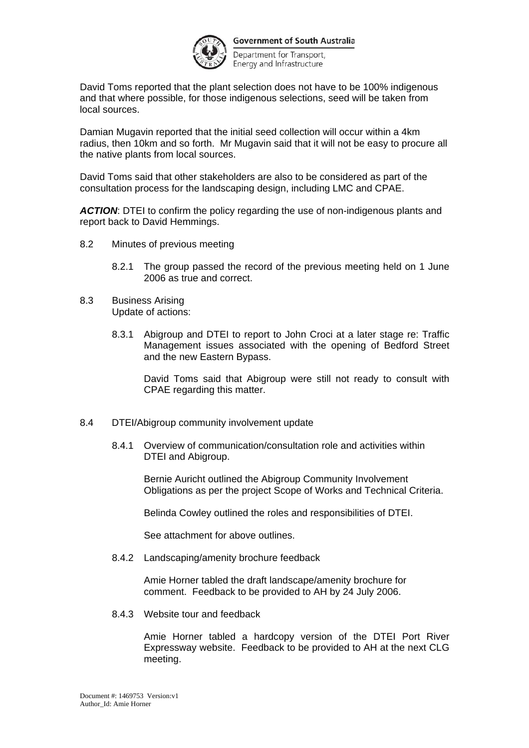

**Government of South Australia** 

Department for Transport, Energy and Infrastructure

David Toms reported that the plant selection does not have to be 100% indigenous and that where possible, for those indigenous selections, seed will be taken from local sources.

Damian Mugavin reported that the initial seed collection will occur within a 4km radius, then 10km and so forth. Mr Mugavin said that it will not be easy to procure all the native plants from local sources.

David Toms said that other stakeholders are also to be considered as part of the consultation process for the landscaping design, including LMC and CPAE.

*ACTION*: DTEI to confirm the policy regarding the use of non-indigenous plants and report back to David Hemmings.

- 8.2 Minutes of previous meeting
	- 8.2.1 The group passed the record of the previous meeting held on 1 June 2006 as true and correct.
- 8.3 Business Arising Update of actions:
	- 8.3.1 Abigroup and DTEI to report to John Croci at a later stage re: Traffic Management issues associated with the opening of Bedford Street and the new Eastern Bypass.

David Toms said that Abigroup were still not ready to consult with CPAE regarding this matter.

- 8.4 DTEI/Abigroup community involvement update
	- 8.4.1 Overview of communication/consultation role and activities within DTEI and Abigroup.

Bernie Auricht outlined the Abigroup Community Involvement Obligations as per the project Scope of Works and Technical Criteria.

Belinda Cowley outlined the roles and responsibilities of DTEI.

See attachment for above outlines.

8.4.2 Landscaping/amenity brochure feedback

Amie Horner tabled the draft landscape/amenity brochure for comment. Feedback to be provided to AH by 24 July 2006.

8.4.3 Website tour and feedback

Amie Horner tabled a hardcopy version of the DTEI Port River Expressway website. Feedback to be provided to AH at the next CLG meeting.